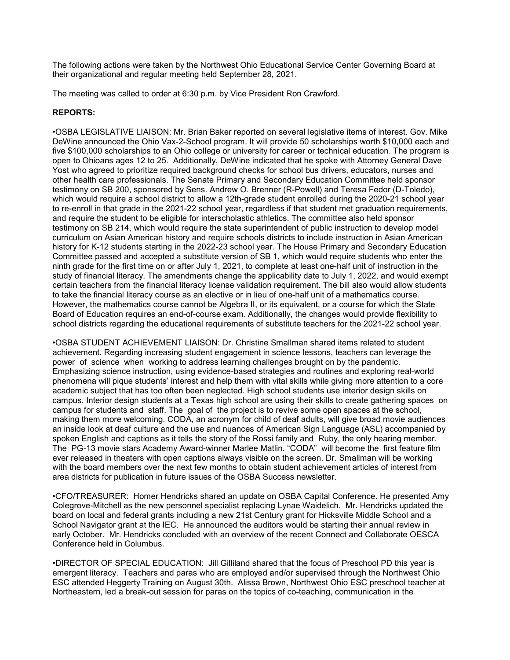The following actions were taken by the Northwest Ohio Educational Service Center Governing Board at their organizational and regular meeting held September 28, 2021.

The meeting was called to order at 6:30 p.m. by Vice President Ron Crawford.

# REPORTS:

•OSBA LEGISLATIVE LIAISON: Mr. Brian Baker reported on several legislative items of interest. Gov. Mike DeWine announced the Ohio Vax-2-School program. It will provide 50 scholarships worth \$10,000 each and five \$100,000 scholarships to an Ohio college or university for career or technical education. The program is open to Ohioans ages 12 to 25. Additionally, DeWine indicated that he spoke with Attorney General Dave Yost who agreed to prioritize required background checks for school bus drivers, educators, nurses and other health care professionals. The Senate Primary and Secondary Education Committee held sponsor testimony on SB 200, sponsored by Sens. Andrew O. Brenner (R-Powell) and Teresa Fedor (D-Toledo), which would require a school district to allow a 12th-grade student enrolled during the 2020-21 school year to re-enroll in that grade in the 2021-22 school year, regardless if that student met graduation requirements, and require the student to be eligible for interscholastic athletics. The committee also held sponsor testimony on SB 214, which would require the state superintendent of public instruction to develop model curriculum on Asian American history and require schools districts to include instruction in Asian American history for K-12 students starting in the 2022-23 school year. The House Primary and Secondary Education Committee passed and accepted a substitute version of SB 1, which would require students who enter the ninth grade for the first time on or after July 1, 2021, to complete at least one-half unit of instruction in the study of financial literacy. The amendments change the applicability date to July 1, 2022, and would exempt certain teachers from the financial literacy license validation requirement. The bill also would allow students to take the financial literacy course as an elective or in lieu of one-half unit of a mathematics course. However, the mathematics course cannot be Algebra II, or its equivalent, or a course for which the State Board of Education requires an end-of-course exam. Additionally, the changes would provide flexibility to school districts regarding the educational requirements of substitute teachers for the 2021-22 school year.

•OSBA STUDENT ACHIEVEMENT LIAISON: Dr. Christine Smallman shared items related to student achievement. Regarding increasing student engagement in science lessons, teachers can leverage the power of science when working to address learning challenges brought on by the pandemic. Emphasizing science instruction, using evidence-based strategies and routines and exploring real-world phenomena will pique students' interest and help them with vital skills while giving more attention to a core academic subject that has too often been neglected. High school students use interior design skills on campus. Interior design students at a Texas high school are using their skills to create gathering spaces on campus for students and staff. The goal of the project is to revive some open spaces at the school, making them more welcoming. CODA, an acronym for child of deaf adults, will give broad movie audiences an inside look at deaf culture and the use and nuances of American Sign Language (ASL) accompanied by spoken English and captions as it tells the story of the Rossi family and Ruby, the only hearing member. The PG-13 movie stars Academy Award-winner Marlee Matlin. "CODA" will become the first feature film ever released in theaters with open captions always visible on the screen. Dr. Smallman will be working with the board members over the next few months to obtain student achievement articles of interest from area districts for publication in future issues of the OSBA Success newsletter.

•CFO/TREASURER: Homer Hendricks shared an update on OSBA Capital Conference. He presented Amy Colegrove-Mitchell as the new personnel specialist replacing Lynae Waidelich. Mr. Hendricks updated the board on local and federal grants including a new 21st Century grant for Hicksville Middle School and a School Navigator grant at the IEC. He announced the auditors would be starting their annual review in early October. Mr. Hendricks concluded with an overview of the recent Connect and Collaborate OESCA Conference held in Columbus.

•DIRECTOR OF SPECIAL EDUCATION: Jill Gilliland shared that the focus of Preschool PD this year is emergent literacy. Teachers and paras who are employed and/or supervised through the Northwest Ohio ESC attended Heggerty Training on August 30th. Alissa Brown, Northwest Ohio ESC preschool teacher at Northeastern, led a break-out session for paras on the topics of co-teaching, communication in the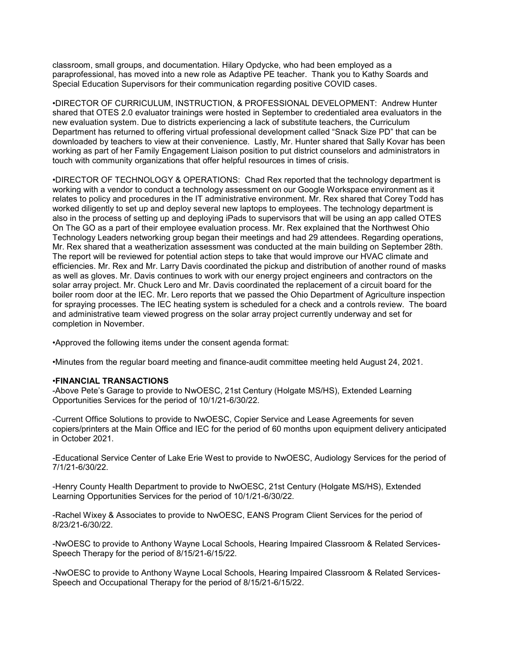classroom, small groups, and documentation. Hilary Opdycke, who had been employed as a paraprofessional, has moved into a new role as Adaptive PE teacher. Thank you to Kathy Soards and Special Education Supervisors for their communication regarding positive COVID cases.

•DIRECTOR OF CURRICULUM, INSTRUCTION, & PROFESSIONAL DEVELOPMENT: Andrew Hunter shared that OTES 2.0 evaluator trainings were hosted in September to credentialed area evaluators in the new evaluation system. Due to districts experiencing a lack of substitute teachers, the Curriculum Department has returned to offering virtual professional development called "Snack Size PD" that can be downloaded by teachers to view at their convenience. Lastly, Mr. Hunter shared that Sally Kovar has been working as part of her Family Engagement Liaison position to put district counselors and administrators in touch with community organizations that offer helpful resources in times of crisis.

•DIRECTOR OF TECHNOLOGY & OPERATIONS: Chad Rex reported that the technology department is working with a vendor to conduct a technology assessment on our Google Workspace environment as it relates to policy and procedures in the IT administrative environment. Mr. Rex shared that Corey Todd has worked diligently to set up and deploy several new laptops to employees. The technology department is also in the process of setting up and deploying iPads to supervisors that will be using an app called OTES On The GO as a part of their employee evaluation process. Mr. Rex explained that the Northwest Ohio Technology Leaders networking group began their meetings and had 29 attendees. Regarding operations, Mr. Rex shared that a weatherization assessment was conducted at the main building on September 28th. The report will be reviewed for potential action steps to take that would improve our HVAC climate and efficiencies. Mr. Rex and Mr. Larry Davis coordinated the pickup and distribution of another round of masks as well as gloves. Mr. Davis continues to work with our energy project engineers and contractors on the solar array project. Mr. Chuck Lero and Mr. Davis coordinated the replacement of a circuit board for the boiler room door at the IEC. Mr. Lero reports that we passed the Ohio Department of Agriculture inspection for spraying processes. The IEC heating system is scheduled for a check and a controls review. The board and administrative team viewed progress on the solar array project currently underway and set for completion in November.

•Approved the following items under the consent agenda format:

•Minutes from the regular board meeting and finance-audit committee meeting held August 24, 2021.

## •FINANCIAL TRANSACTIONS

-Above Pete's Garage to provide to NwOESC, 21st Century (Holgate MS/HS), Extended Learning Opportunities Services for the period of 10/1/21-6/30/22.

-Current Office Solutions to provide to NwOESC, Copier Service and Lease Agreements for seven copiers/printers at the Main Office and IEC for the period of 60 months upon equipment delivery anticipated in October 2021.

-Educational Service Center of Lake Erie West to provide to NwOESC, Audiology Services for the period of 7/1/21-6/30/22.

-Henry County Health Department to provide to NwOESC, 21st Century (Holgate MS/HS), Extended Learning Opportunities Services for the period of 10/1/21-6/30/22.

-Rachel Wixey & Associates to provide to NwOESC, EANS Program Client Services for the period of 8/23/21-6/30/22.

-NwOESC to provide to Anthony Wayne Local Schools, Hearing Impaired Classroom & Related Services-Speech Therapy for the period of 8/15/21-6/15/22.

-NwOESC to provide to Anthony Wayne Local Schools, Hearing Impaired Classroom & Related Services-Speech and Occupational Therapy for the period of 8/15/21-6/15/22.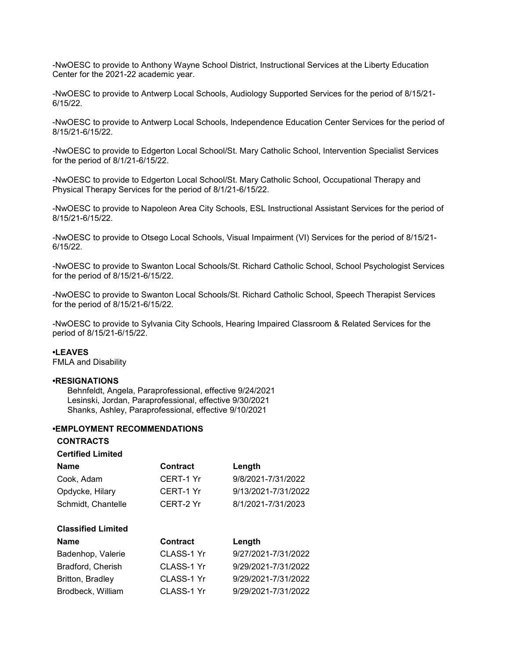-NwOESC to provide to Anthony Wayne School District, Instructional Services at the Liberty Education Center for the 2021-22 academic year.

-NwOESC to provide to Antwerp Local Schools, Audiology Supported Services for the period of 8/15/21- 6/15/22.

-NwOESC to provide to Antwerp Local Schools, Independence Education Center Services for the period of 8/15/21-6/15/22.

-NwOESC to provide to Edgerton Local School/St. Mary Catholic School, Intervention Specialist Services for the period of 8/1/21-6/15/22.

-NwOESC to provide to Edgerton Local School/St. Mary Catholic School, Occupational Therapy and Physical Therapy Services for the period of 8/1/21-6/15/22.

-NwOESC to provide to Napoleon Area City Schools, ESL Instructional Assistant Services for the period of 8/15/21-6/15/22.

-NwOESC to provide to Otsego Local Schools, Visual Impairment (VI) Services for the period of 8/15/21- 6/15/22.

-NwOESC to provide to Swanton Local Schools/St. Richard Catholic School, School Psychologist Services for the period of 8/15/21-6/15/22.

-NwOESC to provide to Swanton Local Schools/St. Richard Catholic School, Speech Therapist Services for the period of 8/15/21-6/15/22.

-NwOESC to provide to Sylvania City Schools, Hearing Impaired Classroom & Related Services for the period of 8/15/21-6/15/22.

### •LEAVES

FMLA and Disability

### •RESIGNATIONS

 Behnfeldt, Angela, Paraprofessional, effective 9/24/2021 Lesinski, Jordan, Paraprofessional, effective 9/30/2021 Shanks, Ashley, Paraprofessional, effective 9/10/2021

#### •EMPLOYMENT RECOMMENDATIONS

CONTRACTS

| <b>Certified Limited</b> |                 |                     |
|--------------------------|-----------------|---------------------|
| Name                     | <b>Contract</b> | Length              |
| Cook, Adam               | CERT-1 Yr       | 9/8/2021-7/31/2022  |
| Opdycke, Hilary          | CERT-1 Yr       | 9/13/2021-7/31/2022 |
| Schmidt, Chantelle       | CERT-2 Yr       | 8/1/2021-7/31/2023  |
|                          |                 |                     |

| <b>Name</b>       | Contract   | Length              |
|-------------------|------------|---------------------|
| Badenhop, Valerie | CLASS-1 Yr | 9/27/2021-7/31/2022 |
| Bradford, Cherish | CLASS-1 Yr | 9/29/2021-7/31/2022 |
| Britton, Bradley  | CLASS-1 Yr | 9/29/2021-7/31/2022 |
| Brodbeck, William | CLASS-1 Yr | 9/29/2021-7/31/2022 |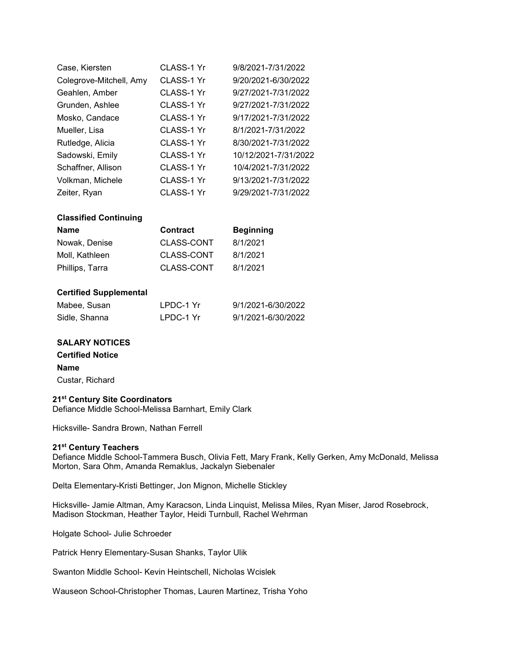| Case, Kiersten          | CLASS-1 Yr | 9/8/2021-7/31/2022   |
|-------------------------|------------|----------------------|
| Colegrove-Mitchell, Amy | CLASS-1 Yr | 9/20/2021-6/30/2022  |
| Geahlen, Amber          | CLASS-1 Yr | 9/27/2021-7/31/2022  |
| Grunden, Ashlee         | CLASS-1 Yr | 9/27/2021-7/31/2022  |
| Mosko, Candace          | CLASS-1 Yr | 9/17/2021-7/31/2022  |
| Mueller, Lisa           | CLASS-1 Yr | 8/1/2021-7/31/2022   |
| Rutledge, Alicia        | CLASS-1 Yr | 8/30/2021-7/31/2022  |
| Sadowski, Emily         | CLASS-1 Yr | 10/12/2021-7/31/2022 |
| Schaffner, Allison      | CLASS-1 Yr | 10/4/2021-7/31/2022  |
| Volkman, Michele        | CLASS-1 Yr | 9/13/2021-7/31/2022  |
| Zeiter, Ryan            | CLASS-1 Yr | 9/29/2021-7/31/2022  |

# Classified Continuing

| <b>Name</b>     | <b>Contract</b> | <b>Beginning</b> |
|-----------------|-----------------|------------------|
| Nowak, Denise   | CLASS-CONT      | 8/1/2021         |
| Moll. Kathleen  | CLASS-CONT      | 8/1/2021         |
| Phillips, Tarra | CLASS-CONT      | 8/1/2021         |

# Certified Supplemental

| Mabee, Susan  | LPDC-1 Yr | 9/1/2021-6/30/2022 |
|---------------|-----------|--------------------|
| Sidle, Shanna | LPDC-1 Yr | 9/1/2021-6/30/2022 |

# SALARY NOTICES

Certified Notice

# Name

Custar, Richard

# 21<sup>st</sup> Century Site Coordinators

Defiance Middle School-Melissa Barnhart, Emily Clark

Hicksville- Sandra Brown, Nathan Ferrell

## 21<sup>st</sup> Century Teachers

Defiance Middle School-Tammera Busch, Olivia Fett, Mary Frank, Kelly Gerken, Amy McDonald, Melissa Morton, Sara Ohm, Amanda Remaklus, Jackalyn Siebenaler

Delta Elementary-Kristi Bettinger, Jon Mignon, Michelle Stickley

Hicksville- Jamie Altman, Amy Karacson, Linda Linquist, Melissa Miles, Ryan Miser, Jarod Rosebrock, Madison Stockman, Heather Taylor, Heidi Turnbull, Rachel Wehrman

Holgate School- Julie Schroeder

Patrick Henry Elementary-Susan Shanks, Taylor Ulik

Swanton Middle School- Kevin Heintschell, Nicholas Wcislek

Wauseon School-Christopher Thomas, Lauren Martinez, Trisha Yoho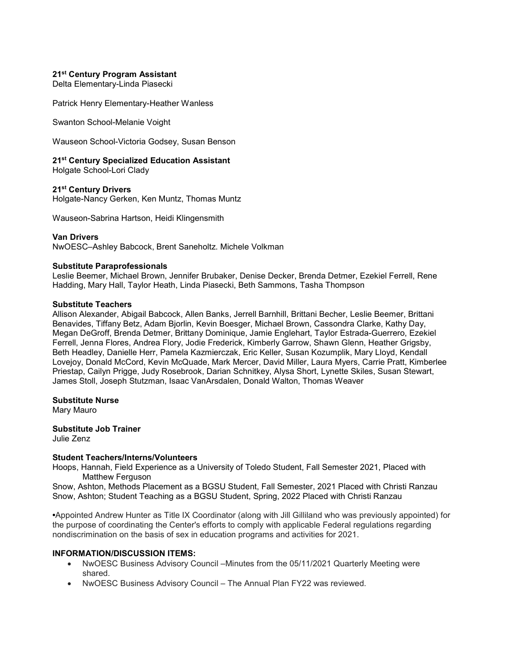## 21<sup>st</sup> Century Program Assistant

Delta Elementary-Linda Piasecki

Patrick Henry Elementary-Heather Wanless

Swanton School-Melanie Voight

Wauseon School-Victoria Godsey, Susan Benson

## 21<sup>st</sup> Century Specialized Education Assistant

Holgate School-Lori Clady

## 21<sup>st</sup> Century Drivers

Holgate-Nancy Gerken, Ken Muntz, Thomas Muntz

Wauseon-Sabrina Hartson, Heidi Klingensmith

Van Drivers NwOESC–Ashley Babcock, Brent Saneholtz. Michele Volkman

## Substitute Paraprofessionals

Leslie Beemer, Michael Brown, Jennifer Brubaker, Denise Decker, Brenda Detmer, Ezekiel Ferrell, Rene Hadding, Mary Hall, Taylor Heath, Linda Piasecki, Beth Sammons, Tasha Thompson

#### Substitute Teachers

Allison Alexander, Abigail Babcock, Allen Banks, Jerrell Barnhill, Brittani Becher, Leslie Beemer, Brittani Benavides, Tiffany Betz, Adam Bjorlin, Kevin Boesger, Michael Brown, Cassondra Clarke, Kathy Day, Megan DeGroff, Brenda Detmer, Brittany Dominique, Jamie Englehart, Taylor Estrada-Guerrero, Ezekiel Ferrell, Jenna Flores, Andrea Flory, Jodie Frederick, Kimberly Garrow, Shawn Glenn, Heather Grigsby, Beth Headley, Danielle Herr, Pamela Kazmierczak, Eric Keller, Susan Kozumplik, Mary Lloyd, Kendall Lovejoy, Donald McCord, Kevin McQuade, Mark Mercer, David Miller, Laura Myers, Carrie Pratt, Kimberlee Priestap, Cailyn Prigge, Judy Rosebrook, Darian Schnitkey, Alysa Short, Lynette Skiles, Susan Stewart, James Stoll, Joseph Stutzman, Isaac VanArsdalen, Donald Walton, Thomas Weaver

Substitute Nurse

Mary Mauro

Substitute Job Trainer Julie Zenz

#### Student Teachers/Interns/Volunteers

Hoops, Hannah, Field Experience as a University of Toledo Student, Fall Semester 2021, Placed with Matthew Ferguson

Snow, Ashton, Methods Placement as a BGSU Student, Fall Semester, 2021 Placed with Christi Ranzau Snow, Ashton; Student Teaching as a BGSU Student, Spring, 2022 Placed with Christi Ranzau

•Appointed Andrew Hunter as Title IX Coordinator (along with Jill Gilliland who was previously appointed) for the purpose of coordinating the Center's efforts to comply with applicable Federal regulations regarding nondiscrimination on the basis of sex in education programs and activities for 2021.

## INFORMATION/DISCUSSION ITEMS:

- NwOESC Business Advisory Council –Minutes from the 05/11/2021 Quarterly Meeting were shared.
- NwOESC Business Advisory Council The Annual Plan FY22 was reviewed.